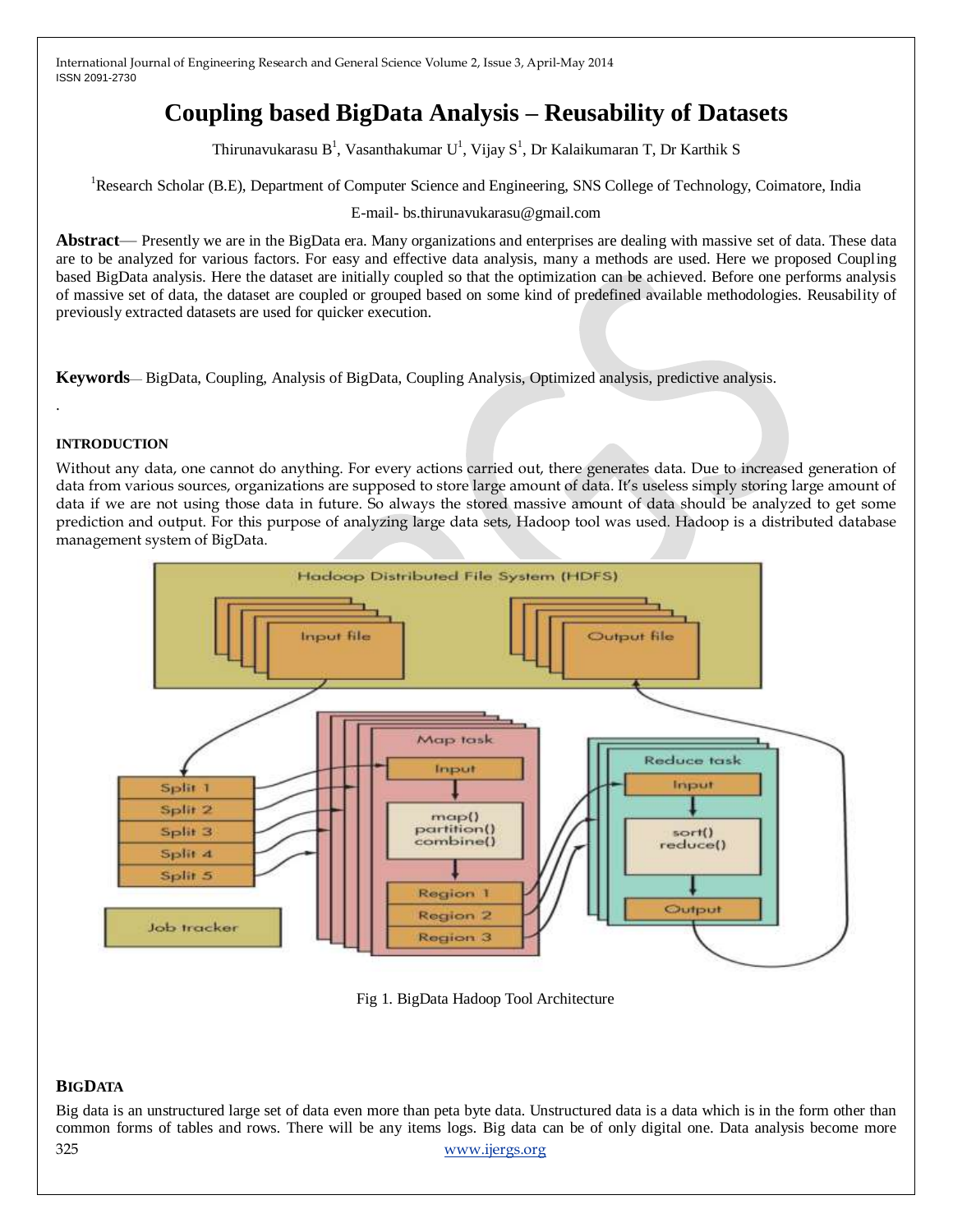# **Coupling based BigData Analysis – Reusability of Datasets**

Thirunavukarasu  $B^1$ , Vasanthakumar  $U^1$ , Vijay  $S^1$ , Dr Kalaikumaran T, Dr Karthik S

<sup>1</sup>Research Scholar (B.E), Department of Computer Science and Engineering, SNS College of Technology, Coimatore, India

E-mail- bs.thirunavukarasu@gmail.com

**Abstract**— Presently we are in the BigData era. Many organizations and enterprises are dealing with massive set of data. These data are to be analyzed for various factors. For easy and effective data analysis, many a methods are used. Here we proposed Coupling based BigData analysis. Here the dataset are initially coupled so that the optimization can be achieved. Before one performs analysis of massive set of data, the dataset are coupled or grouped based on some kind of predefined available methodologies. Reusability of previously extracted datasets are used for quicker execution.

**Keywords**— BigData, Coupling, Analysis of BigData, Coupling Analysis, Optimized analysis, predictive analysis.

#### **INTRODUCTION**

.

Without any data, one cannot do anything. For every actions carried out, there generates data. Due to increased generation of data from various sources, organizations are supposed to store large amount of data. It's useless simply storing large amount of data if we are not using those data in future. So always the stored massive amount of data should be analyzed to get some prediction and output. For this purpose of analyzing large data sets, Hadoop tool was used. Hadoop is a distributed database management system of BigData.



Fig 1. BigData Hadoop Tool Architecture

## **BIGDATA**

325 [www.ijergs.org](http://www.ijergs.org/) Big data is an unstructured large set of data even more than peta byte data. Unstructured data is a data which is in the form other than common forms of tables and rows. There will be any items logs. Big data can be of only digital one. Data analysis become more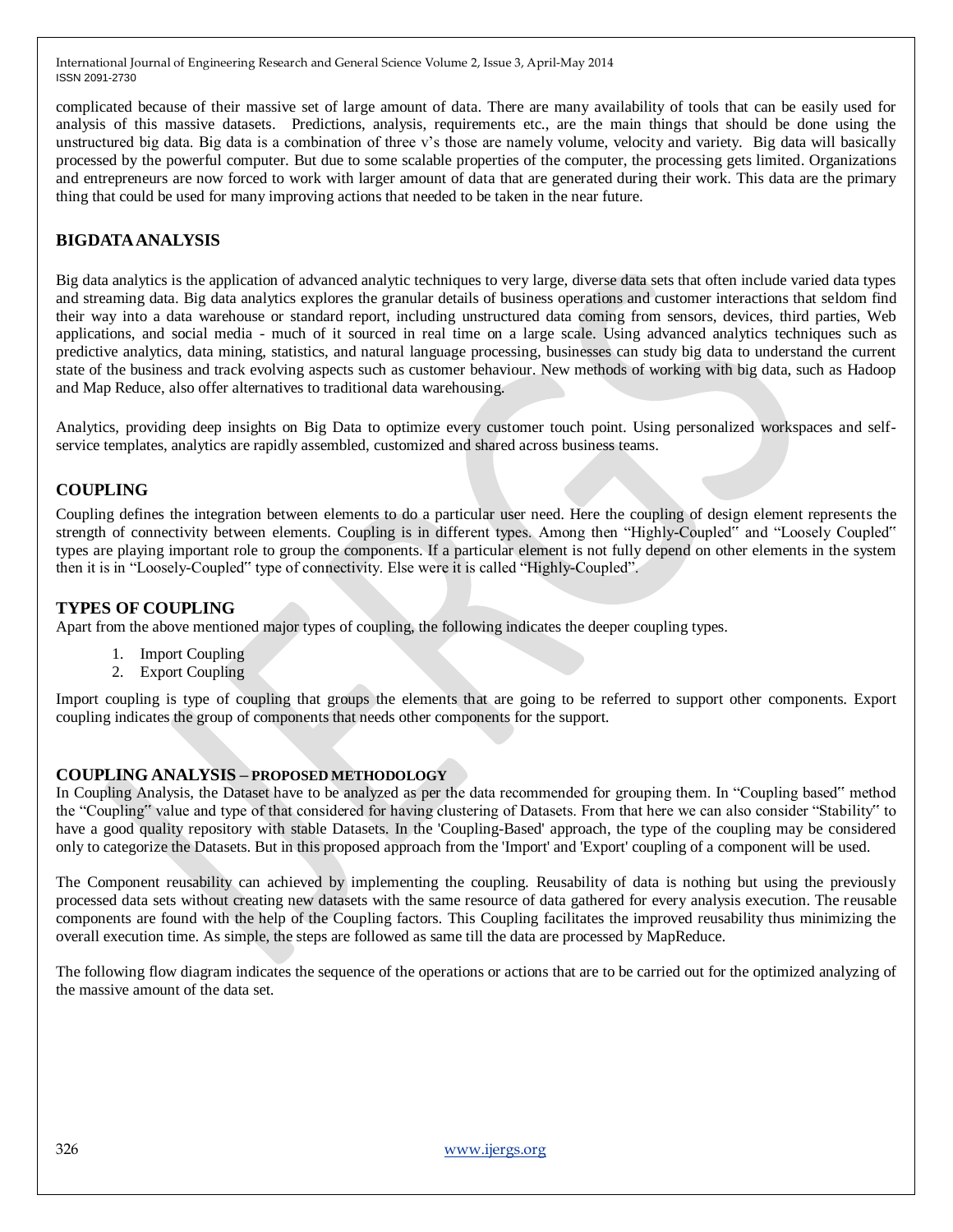complicated because of their massive set of large amount of data. There are many availability of tools that can be easily used for analysis of this massive datasets. Predictions, analysis, requirements etc., are the main things that should be done using the unstructured big data. Big data is a combination of three v's those are namely volume, velocity and variety. Big data will basically processed by the powerful computer. But due to some scalable properties of the computer, the processing gets limited. Organizations and entrepreneurs are now forced to work with larger amount of data that are generated during their work. This data are the primary thing that could be used for many improving actions that needed to be taken in the near future.

# **BIGDATAANALYSIS**

Big data analytics is the application of advanced analytic techniques to very large, diverse data sets that often include varied data types and streaming data. Big data analytics explores the granular details of business operations and customer interactions that seldom find their way into a data warehouse or standard report, including unstructured data coming from sensors, devices, third parties, Web applications, and social media - much of it sourced in real time on a large scale. Using advanced analytics techniques such as predictive analytics, data mining, statistics, and natural language processing, businesses can study big data to understand the current state of the business and track evolving aspects such as customer behaviour. New methods of working with big data, such as Hadoop and Map Reduce, also offer alternatives to traditional data warehousing.

Analytics, providing deep insights on Big Data to optimize every customer touch point. Using personalized workspaces and selfservice templates, analytics are rapidly assembled, customized and shared across business teams.

## **COUPLING**

Coupling defines the integration between elements to do a particular user need. Here the coupling of design element represents the strength of connectivity between elements. Coupling is in different types. Among then "Highly-Coupled" and "Loosely Coupled" types are playing important role to group the components. If a particular element is not fully depend on other elements in the system then it is in "Loosely-Coupled" type of connectivity. Else were it is called "Highly-Coupled".

## **TYPES OF COUPLING**

Apart from the above mentioned major types of coupling, the following indicates the deeper coupling types.

- 1. Import Coupling
- 2. Export Coupling

Import coupling is type of coupling that groups the elements that are going to be referred to support other components. Export coupling indicates the group of components that needs other components for the support.

## **COUPLING ANALYSIS – PROPOSED METHODOLOGY**

In Coupling Analysis, the Dataset have to be analyzed as per the data recommended for grouping them. In "Coupling based" method the "Coupling" value and type of that considered for having clustering of Datasets. From that here we can also consider "Stability" to have a good quality repository with stable Datasets. In the 'Coupling-Based' approach, the type of the coupling may be considered only to categorize the Datasets. But in this proposed approach from the 'Import' and 'Export' coupling of a component will be used.

The Component reusability can achieved by implementing the coupling. Reusability of data is nothing but using the previously processed data sets without creating new datasets with the same resource of data gathered for every analysis execution. The reusable components are found with the help of the Coupling factors. This Coupling facilitates the improved reusability thus minimizing the overall execution time. As simple, the steps are followed as same till the data are processed by MapReduce.

The following flow diagram indicates the sequence of the operations or actions that are to be carried out for the optimized analyzing of the massive amount of the data set.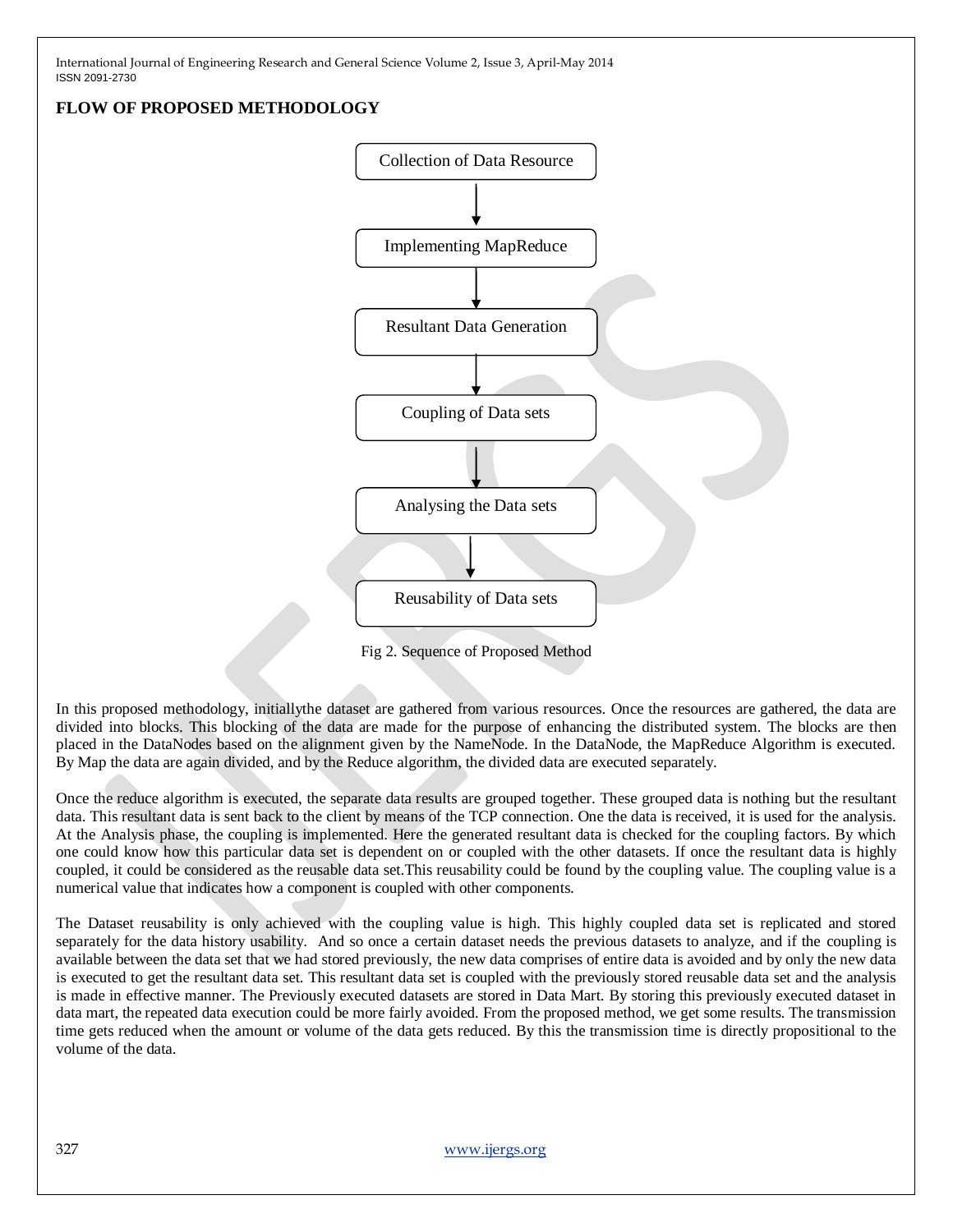# **FLOW OF PROPOSED METHODOLOGY**



Fig 2. Sequence of Proposed Method

In this proposed methodology, initiallythe dataset are gathered from various resources. Once the resources are gathered, the data are divided into blocks. This blocking of the data are made for the purpose of enhancing the distributed system. The blocks are then placed in the DataNodes based on the alignment given by the NameNode. In the DataNode, the MapReduce Algorithm is executed. By Map the data are again divided, and by the Reduce algorithm, the divided data are executed separately.

Once the reduce algorithm is executed, the separate data results are grouped together. These grouped data is nothing but the resultant data. This resultant data is sent back to the client by means of the TCP connection. One the data is received, it is used for the analysis. At the Analysis phase, the coupling is implemented. Here the generated resultant data is checked for the coupling factors. By which one could know how this particular data set is dependent on or coupled with the other datasets. If once the resultant data is highly coupled, it could be considered as the reusable data set.This reusability could be found by the coupling value. The coupling value is a numerical value that indicates how a component is coupled with other components.

The Dataset reusability is only achieved with the coupling value is high. This highly coupled data set is replicated and stored separately for the data history usability. And so once a certain dataset needs the previous datasets to analyze, and if the coupling is available between the data set that we had stored previously, the new data comprises of entire data is avoided and by only the new data is executed to get the resultant data set. This resultant data set is coupled with the previously stored reusable data set and the analysis is made in effective manner. The Previously executed datasets are stored in Data Mart. By storing this previously executed dataset in data mart, the repeated data execution could be more fairly avoided. From the proposed method, we get some results. The transmission time gets reduced when the amount or volume of the data gets reduced. By this the transmission time is directly propositional to the volume of the data.